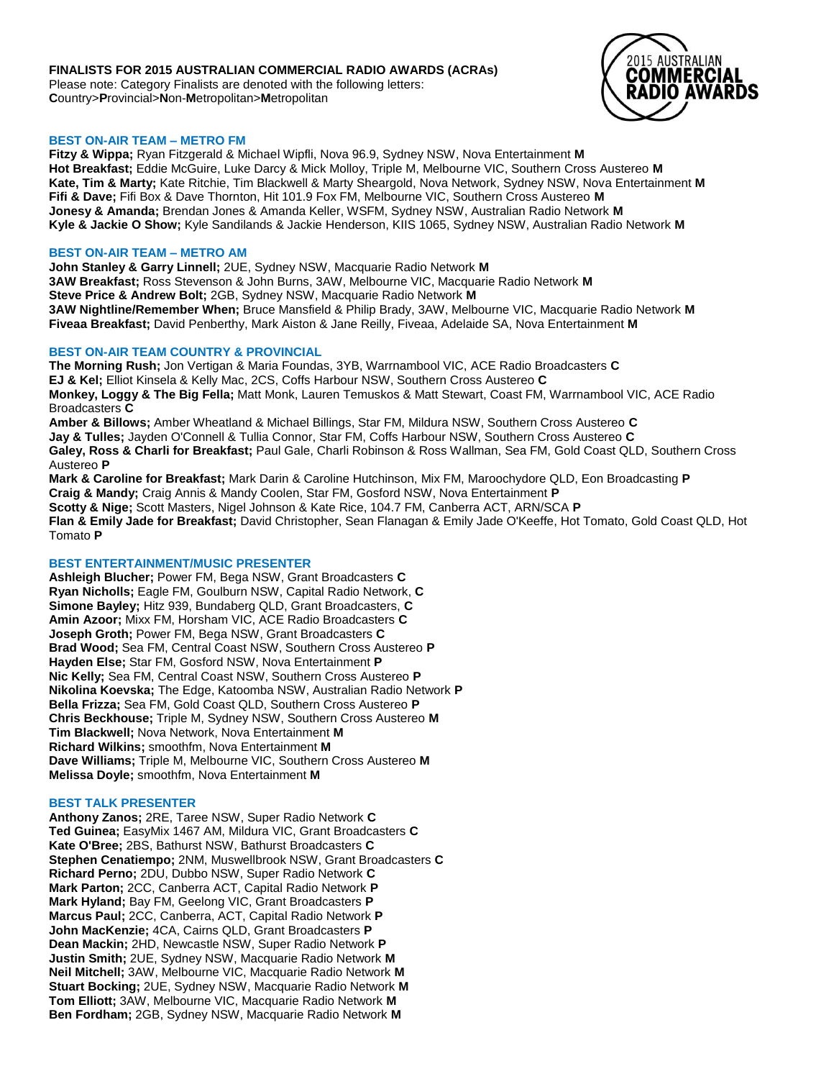# **FINALISTS FOR 2015 AUSTRALIAN COMMERCIAL RADIO AWARDS (ACRAs)**

Please note: Category Finalists are denoted with the following letters: **C**ountry>**P**rovincial>**N**on-**M**etropolitan>**M**etropolitan



## **BEST ON-AIR TEAM – METRO FM**

**Fitzy & Wippa;** Ryan Fitzgerald & Michael Wipfli, Nova 96.9, Sydney NSW, Nova Entertainment **M Hot Breakfast;** Eddie McGuire, Luke Darcy & Mick Molloy, Triple M, Melbourne VIC, Southern Cross Austereo **M Kate, Tim & Marty;** Kate Ritchie, Tim Blackwell & Marty Sheargold, Nova Network, Sydney NSW, Nova Entertainment **M Fifi & Dave;** Fifi Box & Dave Thornton, Hit 101.9 Fox FM, Melbourne VIC, Southern Cross Austereo **M Jonesy & Amanda;** Brendan Jones & Amanda Keller, WSFM, Sydney NSW, Australian Radio Network **M Kyle & Jackie O Show;** Kyle Sandilands & Jackie Henderson, KIIS 1065, Sydney NSW, Australian Radio Network **M**

## **BEST ON-AIR TEAM – METRO AM**

**John Stanley & Garry Linnell;** 2UE, Sydney NSW, Macquarie Radio Network **M 3AW Breakfast;** Ross Stevenson & John Burns, 3AW, Melbourne VIC, Macquarie Radio Network **M Steve Price & Andrew Bolt;** 2GB, Sydney NSW, Macquarie Radio Network **M 3AW Nightline/Remember When;** Bruce Mansfield & Philip Brady, 3AW, Melbourne VIC, Macquarie Radio Network **M Fiveaa Breakfast;** David Penberthy, Mark Aiston & Jane Reilly, Fiveaa, Adelaide SA, Nova Entertainment **M**

## **BEST ON-AIR TEAM COUNTRY & PROVINCIAL**

**The Morning Rush;** Jon Vertigan & Maria Foundas, 3YB, Warrnambool VIC, ACE Radio Broadcasters **C EJ & Kel;** Elliot Kinsela & Kelly Mac, 2CS, Coffs Harbour NSW, Southern Cross Austereo **C Monkey, Loggy & The Big Fella;** Matt Monk, Lauren Temuskos & Matt Stewart, Coast FM, Warrnambool VIC, ACE Radio Broadcasters **C Amber & Billows;** Amber Wheatland & Michael Billings, Star FM, Mildura NSW, Southern Cross Austereo **C Jay & Tulles;** Jayden O'Connell & Tullia Connor, Star FM, Coffs Harbour NSW, Southern Cross Austereo **C**

**Galey, Ross & Charli for Breakfast;** Paul Gale, Charli Robinson & Ross Wallman, Sea FM, Gold Coast QLD, Southern Cross Austereo **P**

**Mark & Caroline for Breakfast;** Mark Darin & Caroline Hutchinson, Mix FM, Maroochydore QLD, Eon Broadcasting **P Craig & Mandy;** Craig Annis & Mandy Coolen, Star FM, Gosford NSW, Nova Entertainment **P Scotty & Nige;** Scott Masters, Nigel Johnson & Kate Rice, 104.7 FM, Canberra ACT, ARN/SCA **P Flan & Emily Jade for Breakfast;** David Christopher, Sean Flanagan & Emily Jade O'Keeffe, Hot Tomato, Gold Coast QLD, Hot Tomato **P**

# **BEST ENTERTAINMENT/MUSIC PRESENTER**

**Ashleigh Blucher;** Power FM, Bega NSW, Grant Broadcasters **C Ryan Nicholls;** Eagle FM, Goulburn NSW, Capital Radio Network, **C Simone Bayley;** Hitz 939, Bundaberg QLD, Grant Broadcasters, **C Amin Azoor;** Mixx FM, Horsham VIC, ACE Radio Broadcasters **C Joseph Groth;** Power FM, Bega NSW, Grant Broadcasters **C Brad Wood;** Sea FM, Central Coast NSW, Southern Cross Austereo **P Hayden Else;** Star FM, Gosford NSW, Nova Entertainment **P Nic Kelly;** Sea FM, Central Coast NSW, Southern Cross Austereo **P Nikolina Koevska;** The Edge, Katoomba NSW, Australian Radio Network **P Bella Frizza;** Sea FM, Gold Coast QLD, Southern Cross Austereo **P Chris Beckhouse;** Triple M, Sydney NSW, Southern Cross Austereo **M Tim Blackwell;** Nova Network, Nova Entertainment **M Richard Wilkins;** smoothfm, Nova Entertainment **M Dave Williams;** Triple M, Melbourne VIC, Southern Cross Austereo **M Melissa Doyle;** smoothfm, Nova Entertainment **M**

#### **BEST TALK PRESENTER**

**Anthony Zanos;** 2RE, Taree NSW, Super Radio Network **C Ted Guinea;** EasyMix 1467 AM, Mildura VIC, Grant Broadcasters **C Kate O'Bree;** 2BS, Bathurst NSW, Bathurst Broadcasters **C Stephen Cenatiempo;** 2NM, Muswellbrook NSW, Grant Broadcasters **C Richard Perno;** 2DU, Dubbo NSW, Super Radio Network **C Mark Parton;** 2CC, Canberra ACT, Capital Radio Network **P Mark Hyland;** Bay FM, Geelong VIC, Grant Broadcasters **P Marcus Paul;** 2CC, Canberra, ACT, Capital Radio Network **P John MacKenzie;** 4CA, Cairns QLD, Grant Broadcasters **P Dean Mackin;** 2HD, Newcastle NSW, Super Radio Network **P Justin Smith;** 2UE, Sydney NSW, Macquarie Radio Network **M Neil Mitchell;** 3AW, Melbourne VIC, Macquarie Radio Network **M Stuart Bocking;** 2UE, Sydney NSW, Macquarie Radio Network **M Tom Elliott;** 3AW, Melbourne VIC, Macquarie Radio Network **M Ben Fordham;** 2GB, Sydney NSW, Macquarie Radio Network **M**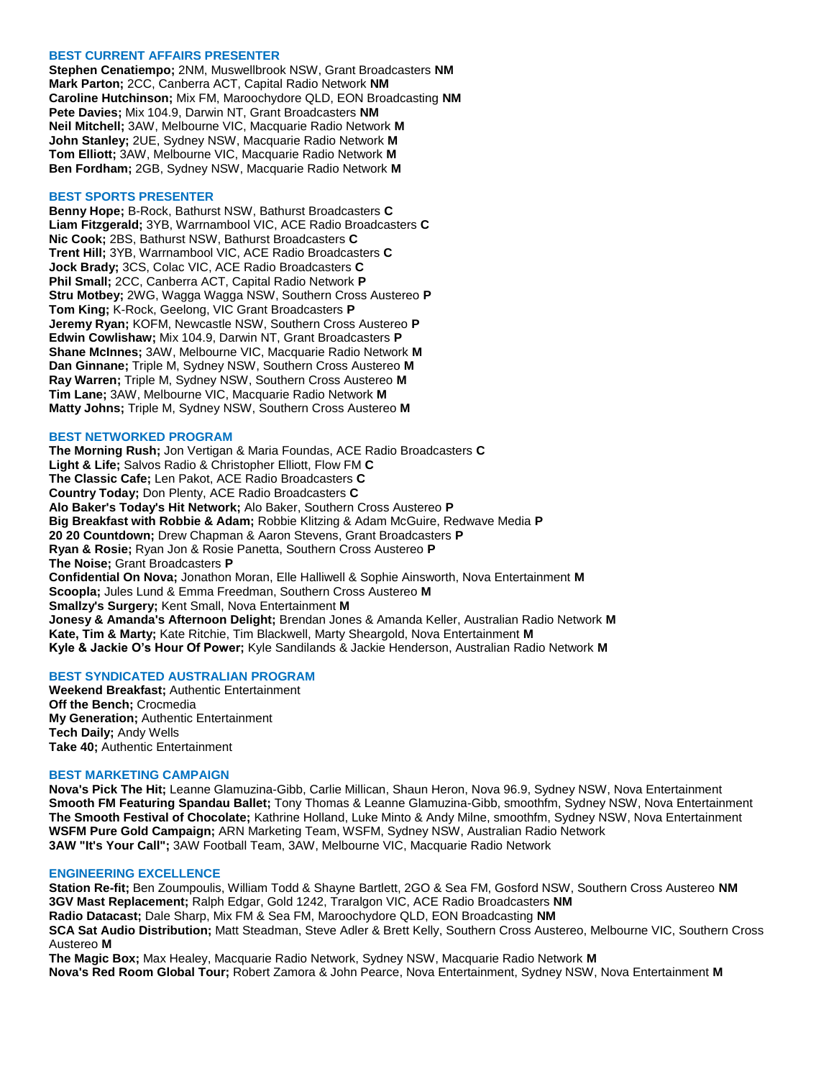### **BEST CURRENT AFFAIRS PRESENTER**

**Stephen Cenatiempo;** 2NM, Muswellbrook NSW, Grant Broadcasters **NM Mark Parton;** 2CC, Canberra ACT, Capital Radio Network **NM Caroline Hutchinson;** Mix FM, Maroochydore QLD, EON Broadcasting **NM Pete Davies;** Mix 104.9, Darwin NT, Grant Broadcasters **NM Neil Mitchell;** 3AW, Melbourne VIC, Macquarie Radio Network **M John Stanley;** 2UE, Sydney NSW, Macquarie Radio Network **M Tom Elliott;** 3AW, Melbourne VIC, Macquarie Radio Network **M Ben Fordham;** 2GB, Sydney NSW, Macquarie Radio Network **M**

#### **BEST SPORTS PRESENTER**

**Benny Hope;** B-Rock, Bathurst NSW, Bathurst Broadcasters **C Liam Fitzgerald;** 3YB, Warrnambool VIC, ACE Radio Broadcasters **C Nic Cook;** 2BS, Bathurst NSW, Bathurst Broadcasters **C Trent Hill;** 3YB, Warrnambool VIC, ACE Radio Broadcasters **C Jock Brady;** 3CS, Colac VIC, ACE Radio Broadcasters **C Phil Small;** 2CC, Canberra ACT, Capital Radio Network **P Stru Motbey;** 2WG, Wagga Wagga NSW, Southern Cross Austereo **P Tom King;** K-Rock, Geelong, VIC Grant Broadcasters **P Jeremy Ryan;** KOFM, Newcastle NSW, Southern Cross Austereo **P Edwin Cowlishaw;** Mix 104.9, Darwin NT, Grant Broadcasters **P Shane McInnes;** 3AW, Melbourne VIC, Macquarie Radio Network **M Dan Ginnane;** Triple M, Sydney NSW, Southern Cross Austereo **M Ray Warren;** Triple M, Sydney NSW, Southern Cross Austereo **M Tim Lane;** 3AW, Melbourne VIC, Macquarie Radio Network **M Matty Johns;** Triple M, Sydney NSW, Southern Cross Austereo **M**

#### **BEST NETWORKED PROGRAM**

**The Morning Rush;** Jon Vertigan & Maria Foundas, ACE Radio Broadcasters **C Light & Life;** Salvos Radio & Christopher Elliott, Flow FM **C The Classic Cafe;** Len Pakot, ACE Radio Broadcasters **C Country Today;** Don Plenty, ACE Radio Broadcasters **C Alo Baker's Today's Hit Network;** Alo Baker, Southern Cross Austereo **P Big Breakfast with Robbie & Adam;** Robbie Klitzing & Adam McGuire, Redwave Media **P 20 20 Countdown;** Drew Chapman & Aaron Stevens, Grant Broadcasters **P Ryan & Rosie;** Ryan Jon & Rosie Panetta, Southern Cross Austereo **P The Noise;** Grant Broadcasters **P Confidential On Nova;** Jonathon Moran, Elle Halliwell & Sophie Ainsworth, Nova Entertainment **M Scoopla;** Jules Lund & Emma Freedman, Southern Cross Austereo **M Smallzy's Surgery;** Kent Small, Nova Entertainment **M Jonesy & Amanda's Afternoon Delight;** Brendan Jones & Amanda Keller, Australian Radio Network **M Kate, Tim & Marty;** Kate Ritchie, Tim Blackwell, Marty Sheargold, Nova Entertainment **M Kyle & Jackie O's Hour Of Power;** Kyle Sandilands & Jackie Henderson, Australian Radio Network **M**

# **BEST SYNDICATED AUSTRALIAN PROGRAM**

**Weekend Breakfast;** Authentic Entertainment **Off the Bench;** Crocmedia **My Generation;** Authentic Entertainment **Tech Daily;** Andy Wells **Take 40;** Authentic Entertainment

### **BEST MARKETING CAMPAIGN**

**Nova's Pick The Hit;** Leanne Glamuzina-Gibb, Carlie Millican, Shaun Heron, Nova 96.9, Sydney NSW, Nova Entertainment **Smooth FM Featuring Spandau Ballet;** Tony Thomas & Leanne Glamuzina-Gibb, smoothfm, Sydney NSW, Nova Entertainment **The Smooth Festival of Chocolate;** Kathrine Holland, Luke Minto & Andy Milne, smoothfm, Sydney NSW, Nova Entertainment **WSFM Pure Gold Campaign;** ARN Marketing Team, WSFM, Sydney NSW, Australian Radio Network **3AW "It's Your Call";** 3AW Football Team, 3AW, Melbourne VIC, Macquarie Radio Network

#### **ENGINEERING EXCELLENCE**

**Station Re-fit;** Ben Zoumpoulis, William Todd & Shayne Bartlett, 2GO & Sea FM, Gosford NSW, Southern Cross Austereo **NM 3GV Mast Replacement;** Ralph Edgar, Gold 1242, Traralgon VIC, ACE Radio Broadcasters **NM Radio Datacast;** Dale Sharp, Mix FM & Sea FM, Maroochydore QLD, EON Broadcasting **NM**

**SCA Sat Audio Distribution;** Matt Steadman, Steve Adler & Brett Kelly, Southern Cross Austereo, Melbourne VIC, Southern Cross Austereo **M**

**The Magic Box;** Max Healey, Macquarie Radio Network, Sydney NSW, Macquarie Radio Network **M Nova's Red Room Global Tour;** Robert Zamora & John Pearce, Nova Entertainment, Sydney NSW, Nova Entertainment **M**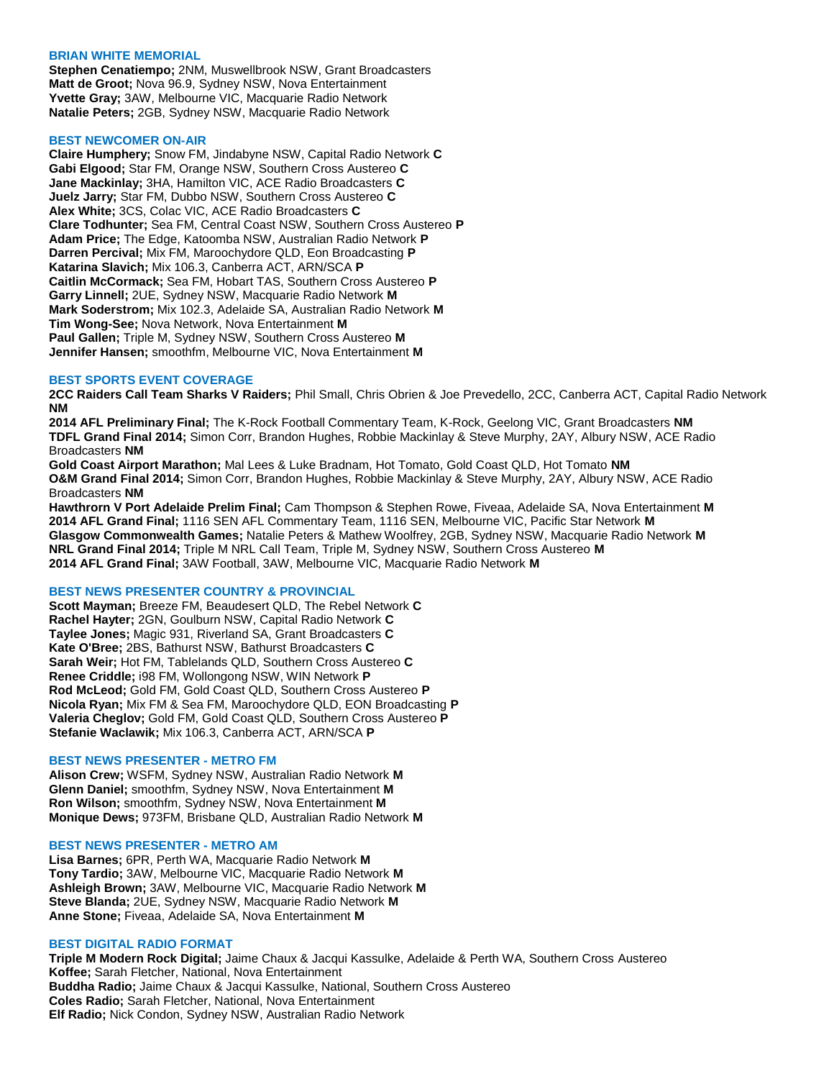### **BRIAN WHITE MEMORIAL**

**Stephen Cenatiempo;** 2NM, Muswellbrook NSW, Grant Broadcasters **Matt de Groot;** Nova 96.9, Sydney NSW, Nova Entertainment **Yvette Gray;** 3AW, Melbourne VIC, Macquarie Radio Network **Natalie Peters;** 2GB, Sydney NSW, Macquarie Radio Network

# **BEST NEWCOMER ON-AIR**

**Claire Humphery;** Snow FM, Jindabyne NSW, Capital Radio Network **C Gabi Elgood;** Star FM, Orange NSW, Southern Cross Austereo **C Jane Mackinlay;** 3HA, Hamilton VIC, ACE Radio Broadcasters **C Juelz Jarry;** Star FM, Dubbo NSW, Southern Cross Austereo **C Alex White;** 3CS, Colac VIC, ACE Radio Broadcasters **C Clare Todhunter;** Sea FM, Central Coast NSW, Southern Cross Austereo **P Adam Price;** The Edge, Katoomba NSW, Australian Radio Network **P Darren Percival;** Mix FM, Maroochydore QLD, Eon Broadcasting **P Katarina Slavich;** Mix 106.3, Canberra ACT, ARN/SCA **P Caitlin McCormack;** Sea FM, Hobart TAS, Southern Cross Austereo **P Garry Linnell;** 2UE, Sydney NSW, Macquarie Radio Network **M Mark Soderstrom;** Mix 102.3, Adelaide SA, Australian Radio Network **M Tim Wong-See;** Nova Network, Nova Entertainment **M Paul Gallen;** Triple M, Sydney NSW, Southern Cross Austereo **M Jennifer Hansen;** smoothfm, Melbourne VIC, Nova Entertainment **M**

## **BEST SPORTS EVENT COVERAGE**

**2CC Raiders Call Team Sharks V Raiders;** Phil Small, Chris Obrien & Joe Prevedello, 2CC, Canberra ACT, Capital Radio Network **NM**

**2014 AFL Preliminary Final;** The K-Rock Football Commentary Team, K-Rock, Geelong VIC, Grant Broadcasters **NM TDFL Grand Final 2014;** Simon Corr, Brandon Hughes, Robbie Mackinlay & Steve Murphy, 2AY, Albury NSW, ACE Radio Broadcasters **NM**

**Gold Coast Airport Marathon;** Mal Lees & Luke Bradnam, Hot Tomato, Gold Coast QLD, Hot Tomato **NM O&M Grand Final 2014;** Simon Corr, Brandon Hughes, Robbie Mackinlay & Steve Murphy, 2AY, Albury NSW, ACE Radio Broadcasters **NM**

**Hawthrorn V Port Adelaide Prelim Final;** Cam Thompson & Stephen Rowe, Fiveaa, Adelaide SA, Nova Entertainment **M 2014 AFL Grand Final;** 1116 SEN AFL Commentary Team, 1116 SEN, Melbourne VIC, Pacific Star Network **M Glasgow Commonwealth Games;** Natalie Peters & Mathew Woolfrey, 2GB, Sydney NSW, Macquarie Radio Network **M NRL Grand Final 2014;** Triple M NRL Call Team, Triple M, Sydney NSW, Southern Cross Austereo **M 2014 AFL Grand Final;** 3AW Football, 3AW, Melbourne VIC, Macquarie Radio Network **M**

# **BEST NEWS PRESENTER COUNTRY & PROVINCIAL**

**Scott Mayman;** Breeze FM, Beaudesert QLD, The Rebel Network **C Rachel Hayter;** 2GN, Goulburn NSW, Capital Radio Network **C Taylee Jones;** Magic 931, Riverland SA, Grant Broadcasters **C Kate O'Bree;** 2BS, Bathurst NSW, Bathurst Broadcasters **C Sarah Weir;** Hot FM, Tablelands QLD, Southern Cross Austereo **C Renee Criddle;** i98 FM, Wollongong NSW, WIN Network **P Rod McLeod;** Gold FM, Gold Coast QLD, Southern Cross Austereo **P Nicola Ryan;** Mix FM & Sea FM, Maroochydore QLD, EON Broadcasting **P Valeria Cheglov;** Gold FM, Gold Coast QLD, Southern Cross Austereo **P Stefanie Waclawik;** Mix 106.3, Canberra ACT, ARN/SCA **P**

#### **BEST NEWS PRESENTER - METRO FM**

**Alison Crew;** WSFM, Sydney NSW, Australian Radio Network **M Glenn Daniel;** smoothfm, Sydney NSW, Nova Entertainment **M Ron Wilson;** smoothfm, Sydney NSW, Nova Entertainment **M Monique Dews;** 973FM, Brisbane QLD, Australian Radio Network **M**

# **BEST NEWS PRESENTER - METRO AM**

**Lisa Barnes;** 6PR, Perth WA, Macquarie Radio Network **M Tony Tardio;** 3AW, Melbourne VIC, Macquarie Radio Network **M Ashleigh Brown;** 3AW, Melbourne VIC, Macquarie Radio Network **M Steve Blanda;** 2UE, Sydney NSW, Macquarie Radio Network **M Anne Stone;** Fiveaa, Adelaide SA, Nova Entertainment **M**

### **BEST DIGITAL RADIO FORMAT**

**Triple M Modern Rock Digital;** Jaime Chaux & Jacqui Kassulke, Adelaide & Perth WA, Southern Cross Austereo **Koffee;** Sarah Fletcher, National, Nova Entertainment **Buddha Radio;** Jaime Chaux & Jacqui Kassulke, National, Southern Cross Austereo **Coles Radio;** Sarah Fletcher, National, Nova Entertainment **Elf Radio;** Nick Condon, Sydney NSW, Australian Radio Network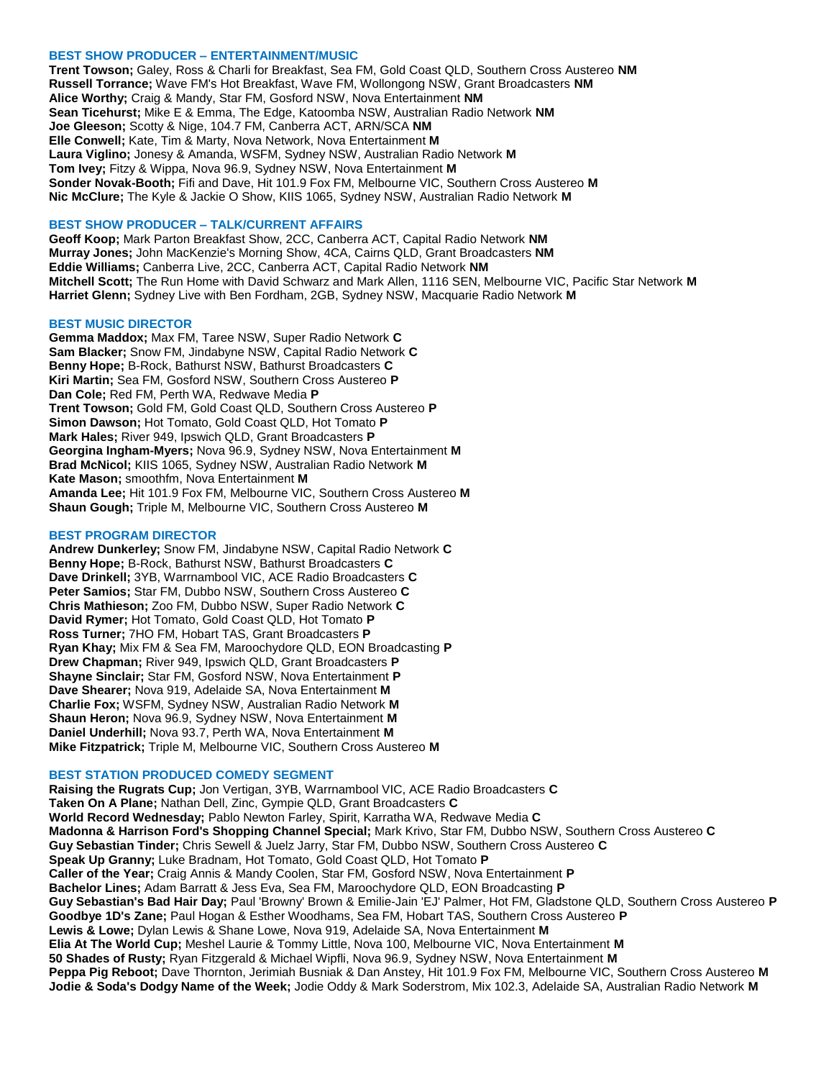## **BEST SHOW PRODUCER – ENTERTAINMENT/MUSIC**

**Trent Towson;** Galey, Ross & Charli for Breakfast, Sea FM, Gold Coast QLD, Southern Cross Austereo **NM Russell Torrance;** Wave FM's Hot Breakfast, Wave FM, Wollongong NSW, Grant Broadcasters **NM Alice Worthy;** Craig & Mandy, Star FM, Gosford NSW, Nova Entertainment **NM Sean Ticehurst;** Mike E & Emma, The Edge, Katoomba NSW, Australian Radio Network **NM Joe Gleeson;** Scotty & Nige, 104.7 FM, Canberra ACT, ARN/SCA **NM Elle Conwell;** Kate, Tim & Marty, Nova Network, Nova Entertainment **M Laura Viglino;** Jonesy & Amanda, WSFM, Sydney NSW, Australian Radio Network **M Tom Ivey;** Fitzy & Wippa, Nova 96.9, Sydney NSW, Nova Entertainment **M Sonder Novak-Booth;** Fifi and Dave, Hit 101.9 Fox FM, Melbourne VIC, Southern Cross Austereo **M Nic McClure;** The Kyle & Jackie O Show, KIIS 1065, Sydney NSW, Australian Radio Network **M**

### **BEST SHOW PRODUCER – TALK/CURRENT AFFAIRS**

**Geoff Koop;** Mark Parton Breakfast Show, 2CC, Canberra ACT, Capital Radio Network **NM Murray Jones;** John MacKenzie's Morning Show, 4CA, Cairns QLD, Grant Broadcasters **NM Eddie Williams;** Canberra Live, 2CC, Canberra ACT, Capital Radio Network **NM Mitchell Scott;** The Run Home with David Schwarz and Mark Allen, 1116 SEN, Melbourne VIC, Pacific Star Network **M Harriet Glenn;** Sydney Live with Ben Fordham, 2GB, Sydney NSW, Macquarie Radio Network **M**

#### **BEST MUSIC DIRECTOR**

**Gemma Maddox;** Max FM, Taree NSW, Super Radio Network **C Sam Blacker;** Snow FM, Jindabyne NSW, Capital Radio Network **C Benny Hope;** B-Rock, Bathurst NSW, Bathurst Broadcasters **C Kiri Martin;** Sea FM, Gosford NSW, Southern Cross Austereo **P Dan Cole;** Red FM, Perth WA, Redwave Media **P Trent Towson;** Gold FM, Gold Coast QLD, Southern Cross Austereo **P Simon Dawson;** Hot Tomato, Gold Coast QLD, Hot Tomato **P Mark Hales;** River 949, Ipswich QLD, Grant Broadcasters **P Georgina Ingham-Myers;** Nova 96.9, Sydney NSW, Nova Entertainment **M Brad McNicol;** KIIS 1065, Sydney NSW, Australian Radio Network **M Kate Mason;** smoothfm, Nova Entertainment **M Amanda Lee;** Hit 101.9 Fox FM, Melbourne VIC, Southern Cross Austereo **M Shaun Gough;** Triple M, Melbourne VIC, Southern Cross Austereo **M**

## **BEST PROGRAM DIRECTOR**

**Andrew Dunkerley;** Snow FM, Jindabyne NSW, Capital Radio Network **C Benny Hope;** B-Rock, Bathurst NSW, Bathurst Broadcasters **C Dave Drinkell;** 3YB, Warrnambool VIC, ACE Radio Broadcasters **C Peter Samios;** Star FM, Dubbo NSW, Southern Cross Austereo **C Chris Mathieson;** Zoo FM, Dubbo NSW, Super Radio Network **C David Rymer;** Hot Tomato, Gold Coast QLD, Hot Tomato **P Ross Turner;** 7HO FM, Hobart TAS, Grant Broadcasters **P Ryan Khay;** Mix FM & Sea FM, Maroochydore QLD, EON Broadcasting **P Drew Chapman;** River 949, Ipswich QLD, Grant Broadcasters **P Shayne Sinclair;** Star FM, Gosford NSW, Nova Entertainment **P Dave Shearer;** Nova 919, Adelaide SA, Nova Entertainment **M Charlie Fox;** WSFM, Sydney NSW, Australian Radio Network **M Shaun Heron;** Nova 96.9, Sydney NSW, Nova Entertainment **M Daniel Underhill;** Nova 93.7, Perth WA, Nova Entertainment **M Mike Fitzpatrick;** Triple M, Melbourne VIC, Southern Cross Austereo **M**

#### **BEST STATION PRODUCED COMEDY SEGMENT**

**Raising the Rugrats Cup;** Jon Vertigan, 3YB, Warrnambool VIC, ACE Radio Broadcasters **C Taken On A Plane;** Nathan Dell, Zinc, Gympie QLD, Grant Broadcasters **C World Record Wednesday;** Pablo Newton Farley, Spirit, Karratha WA, Redwave Media **C Madonna & Harrison Ford's Shopping Channel Special;** Mark Krivo, Star FM, Dubbo NSW, Southern Cross Austereo **C Guy Sebastian Tinder;** Chris Sewell & Juelz Jarry, Star FM, Dubbo NSW, Southern Cross Austereo **C Speak Up Granny;** Luke Bradnam, Hot Tomato, Gold Coast QLD, Hot Tomato **P Caller of the Year;** Craig Annis & Mandy Coolen, Star FM, Gosford NSW, Nova Entertainment **P Bachelor Lines;** Adam Barratt & Jess Eva, Sea FM, Maroochydore QLD, EON Broadcasting **P Guy Sebastian's Bad Hair Day;** Paul 'Browny' Brown & Emilie-Jain 'EJ' Palmer, Hot FM, Gladstone QLD, Southern Cross Austereo **P Goodbye 1D's Zane;** Paul Hogan & Esther Woodhams, Sea FM, Hobart TAS, Southern Cross Austereo **P Lewis & Lowe;** Dylan Lewis & Shane Lowe, Nova 919, Adelaide SA, Nova Entertainment **M Elia At The World Cup;** Meshel Laurie & Tommy Little, Nova 100, Melbourne VIC, Nova Entertainment **M 50 Shades of Rusty;** Ryan Fitzgerald & Michael Wipfli, Nova 96.9, Sydney NSW, Nova Entertainment **M Peppa Pig Reboot;** Dave Thornton, Jerimiah Busniak & Dan Anstey, Hit 101.9 Fox FM, Melbourne VIC, Southern Cross Austereo **M Jodie & Soda's Dodgy Name of the Week;** Jodie Oddy & Mark Soderstrom, Mix 102.3, Adelaide SA, Australian Radio Network **M**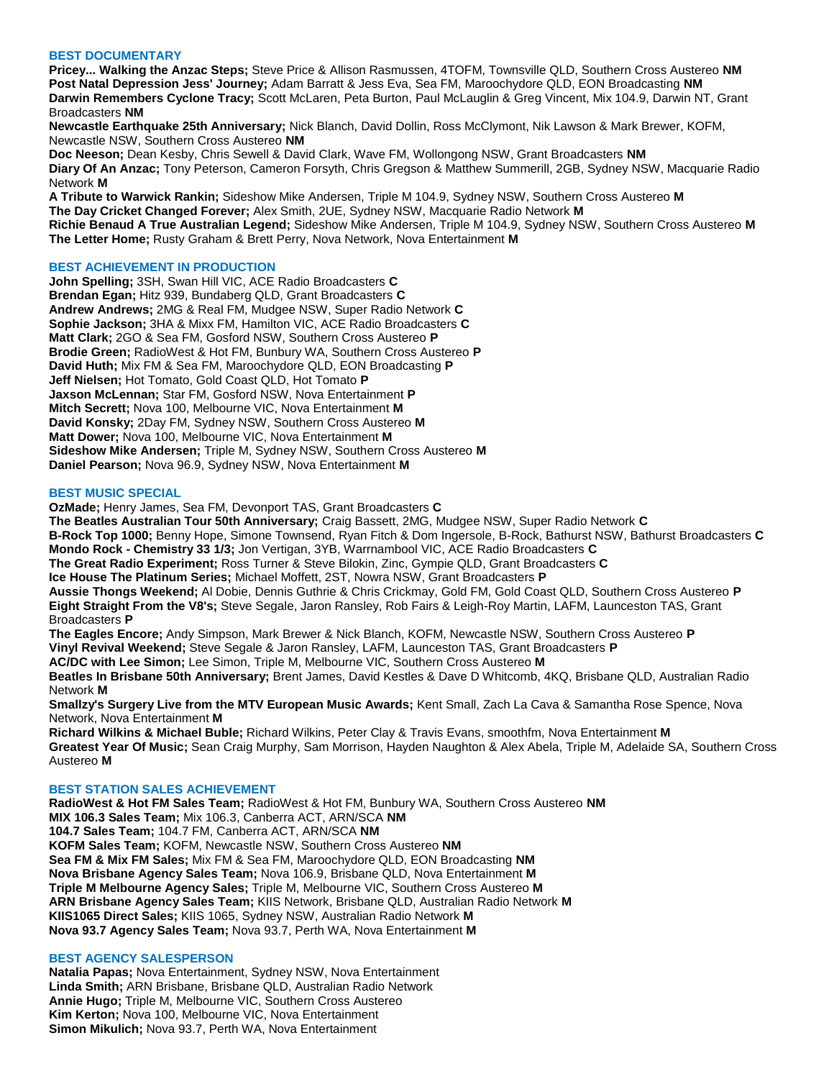# **BEST DOCUMENTARY**

**Pricey... Walking the Anzac Steps;** Steve Price & Allison Rasmussen, 4TOFM, Townsville QLD, Southern Cross Austereo **NM Post Natal Depression Jess' Journey;** Adam Barratt & Jess Eva, Sea FM, Maroochydore QLD, EON Broadcasting **NM Darwin Remembers Cyclone Tracy;** Scott McLaren, Peta Burton, Paul McLauglin & Greg Vincent, Mix 104.9, Darwin NT, Grant Broadcasters **NM**

**Newcastle Earthquake 25th Anniversary;** Nick Blanch, David Dollin, Ross McClymont, Nik Lawson & Mark Brewer, KOFM, Newcastle NSW, Southern Cross Austereo **NM**

**Doc Neeson;** Dean Kesby, Chris Sewell & David Clark, Wave FM, Wollongong NSW, Grant Broadcasters **NM Diary Of An Anzac;** Tony Peterson, Cameron Forsyth, Chris Gregson & Matthew Summerill, 2GB, Sydney NSW, Macquarie Radio Network **M**

**A Tribute to Warwick Rankin;** Sideshow Mike Andersen, Triple M 104.9, Sydney NSW, Southern Cross Austereo **M The Day Cricket Changed Forever;** Alex Smith, 2UE, Sydney NSW, Macquarie Radio Network **M Richie Benaud A True Australian Legend;** Sideshow Mike Andersen, Triple M 104.9, Sydney NSW, Southern Cross Austereo **M The Letter Home;** Rusty Graham & Brett Perry, Nova Network, Nova Entertainment **M**

# **BEST ACHIEVEMENT IN PRODUCTION**

**John Spelling;** 3SH, Swan Hill VIC, ACE Radio Broadcasters **C Brendan Egan;** Hitz 939, Bundaberg QLD, Grant Broadcasters **C Andrew Andrews;** 2MG & Real FM, Mudgee NSW, Super Radio Network **C Sophie Jackson;** 3HA & Mixx FM, Hamilton VIC, ACE Radio Broadcasters **C Matt Clark;** 2GO & Sea FM, Gosford NSW, Southern Cross Austereo **P Brodie Green;** RadioWest & Hot FM, Bunbury WA, Southern Cross Austereo **P David Huth;** Mix FM & Sea FM, Maroochydore QLD, EON Broadcasting **P Jeff Nielsen;** Hot Tomato, Gold Coast QLD, Hot Tomato **P Jaxson McLennan;** Star FM, Gosford NSW, Nova Entertainment **P Mitch Secrett;** Nova 100, Melbourne VIC, Nova Entertainment **M David Konsky;** 2Day FM, Sydney NSW, Southern Cross Austereo **M Matt Dower;** Nova 100, Melbourne VIC, Nova Entertainment **M Sideshow Mike Andersen;** Triple M, Sydney NSW, Southern Cross Austereo **M Daniel Pearson;** Nova 96.9, Sydney NSW, Nova Entertainment **M**

## **BEST MUSIC SPECIAL**

**OzMade;** Henry James, Sea FM, Devonport TAS, Grant Broadcasters **C**

**The Beatles Australian Tour 50th Anniversary;** Craig Bassett, 2MG, Mudgee NSW, Super Radio Network **C**

**B-Rock Top 1000;** Benny Hope, Simone Townsend, Ryan Fitch & Dom Ingersole, B-Rock, Bathurst NSW, Bathurst Broadcasters **C Mondo Rock - Chemistry 33 1/3;** Jon Vertigan, 3YB, Warrnambool VIC, ACE Radio Broadcasters **C**

**The Great Radio Experiment;** Ross Turner & Steve Bilokin, Zinc, Gympie QLD, Grant Broadcasters **C**

**Ice House The Platinum Series;** Michael Moffett, 2ST, Nowra NSW, Grant Broadcasters **P**

**Aussie Thongs Weekend;** Al Dobie, Dennis Guthrie & Chris Crickmay, Gold FM, Gold Coast QLD, Southern Cross Austereo **P Eight Straight From the V8's;** Steve Segale, Jaron Ransley, Rob Fairs & Leigh-Roy Martin, LAFM, Launceston TAS, Grant Broadcasters **P**

**The Eagles Encore;** Andy Simpson, Mark Brewer & Nick Blanch, KOFM, Newcastle NSW, Southern Cross Austereo **P Vinyl Revival Weekend;** Steve Segale & Jaron Ransley, LAFM, Launceston TAS, Grant Broadcasters **P**

**AC/DC with Lee Simon;** Lee Simon, Triple M, Melbourne VIC, Southern Cross Austereo **M**

**Beatles In Brisbane 50th Anniversary;** Brent James, David Kestles & Dave D Whitcomb, 4KQ, Brisbane QLD, Australian Radio Network **M**

**Smallzy's Surgery Live from the MTV European Music Awards;** Kent Small, Zach La Cava & Samantha Rose Spence, Nova Network, Nova Entertainment **M**

**Richard Wilkins & Michael Buble;** Richard Wilkins, Peter Clay & Travis Evans, smoothfm, Nova Entertainment **M Greatest Year Of Music;** Sean Craig Murphy, Sam Morrison, Hayden Naughton & Alex Abela, Triple M, Adelaide SA, Southern Cross Austereo **M**

#### **BEST STATION SALES ACHIEVEMENT**

**RadioWest & Hot FM Sales Team;** RadioWest & Hot FM, Bunbury WA, Southern Cross Austereo **NM MIX 106.3 Sales Team;** Mix 106.3, Canberra ACT, ARN/SCA **NM 104.7 Sales Team;** 104.7 FM, Canberra ACT, ARN/SCA **NM KOFM Sales Team;** KOFM, Newcastle NSW, Southern Cross Austereo **NM Sea FM & Mix FM Sales;** Mix FM & Sea FM, Maroochydore QLD, EON Broadcasting **NM Nova Brisbane Agency Sales Team;** Nova 106.9, Brisbane QLD, Nova Entertainment **M Triple M Melbourne Agency Sales;** Triple M, Melbourne VIC, Southern Cross Austereo **M ARN Brisbane Agency Sales Team;** KIIS Network, Brisbane QLD, Australian Radio Network **M KIIS1065 Direct Sales;** KIIS 1065, Sydney NSW, Australian Radio Network **M Nova 93.7 Agency Sales Team;** Nova 93.7, Perth WA, Nova Entertainment **M**

### **BEST AGENCY SALESPERSON**

**Natalia Papas;** Nova Entertainment, Sydney NSW, Nova Entertainment **Linda Smith;** ARN Brisbane, Brisbane QLD, Australian Radio Network **Annie Hugo;** Triple M, Melbourne VIC, Southern Cross Austereo **Kim Kerton;** Nova 100, Melbourne VIC, Nova Entertainment **Simon Mikulich;** Nova 93.7, Perth WA, Nova Entertainment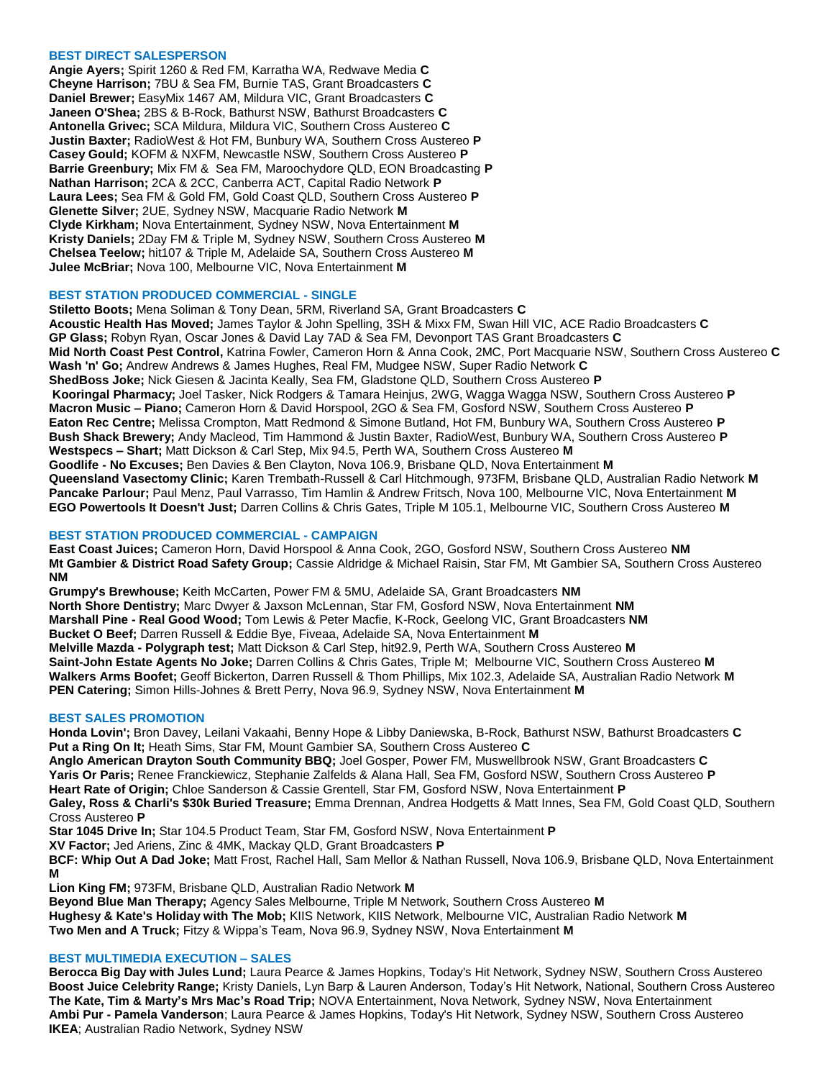# **BEST DIRECT SALESPERSON**

**Angie Ayers;** Spirit 1260 & Red FM, Karratha WA, Redwave Media **C Cheyne Harrison;** 7BU & Sea FM, Burnie TAS, Grant Broadcasters **C Daniel Brewer;** EasyMix 1467 AM, Mildura VIC, Grant Broadcasters **C Janeen O'Shea;** 2BS & B-Rock, Bathurst NSW, Bathurst Broadcasters **C Antonella Grivec;** SCA Mildura, Mildura VIC, Southern Cross Austereo **C Justin Baxter;** RadioWest & Hot FM, Bunbury WA, Southern Cross Austereo **P Casey Gould;** KOFM & NXFM, Newcastle NSW, Southern Cross Austereo **P Barrie Greenbury;** Mix FM & Sea FM, Maroochydore QLD, EON Broadcasting **P Nathan Harrison;** 2CA & 2CC, Canberra ACT, Capital Radio Network **P Laura Lees;** Sea FM & Gold FM, Gold Coast QLD, Southern Cross Austereo **P Glenette Silver;** 2UE, Sydney NSW, Macquarie Radio Network **M Clyde Kirkham;** Nova Entertainment, Sydney NSW, Nova Entertainment **M Kristy Daniels;** 2Day FM & Triple M, Sydney NSW, Southern Cross Austereo **M Chelsea Teelow;** hit107 & Triple M, Adelaide SA, Southern Cross Austereo **M Julee McBriar;** Nova 100, Melbourne VIC, Nova Entertainment **M**

## **BEST STATION PRODUCED COMMERCIAL - SINGLE**

**Stiletto Boots;** Mena Soliman & Tony Dean, 5RM, Riverland SA, Grant Broadcasters **C Acoustic Health Has Moved;** James Taylor & John Spelling, 3SH & Mixx FM, Swan Hill VIC, ACE Radio Broadcasters **C GP Glass;** Robyn Ryan, Oscar Jones & David Lay 7AD & Sea FM, Devonport TAS Grant Broadcasters **C Mid North Coast Pest Control,** Katrina Fowler, Cameron Horn & Anna Cook, 2MC, Port Macquarie NSW, Southern Cross Austereo **C Wash 'n' Go;** Andrew Andrews & James Hughes, Real FM, Mudgee NSW, Super Radio Network **C ShedBoss Joke;** Nick Giesen & Jacinta Keally, Sea FM, Gladstone QLD, Southern Cross Austereo **P Kooringal Pharmacy;** Joel Tasker, Nick Rodgers & Tamara Heinjus, 2WG, Wagga Wagga NSW, Southern Cross Austereo **P Macron Music – Piano;** Cameron Horn & David Horspool, 2GO & Sea FM, Gosford NSW, Southern Cross Austereo **P Eaton Rec Centre;** Melissa Crompton, Matt Redmond & Simone Butland, Hot FM, Bunbury WA, Southern Cross Austereo **P Bush Shack Brewery;** Andy Macleod, Tim Hammond & Justin Baxter, RadioWest, Bunbury WA, Southern Cross Austereo **P Westspecs – Shart;** Matt Dickson & Carl Step, Mix 94.5, Perth WA, Southern Cross Austereo **M Goodlife - No Excuses;** Ben Davies & Ben Clayton, Nova 106.9, Brisbane QLD, Nova Entertainment **M Queensland Vasectomy Clinic;** Karen Trembath-Russell & Carl Hitchmough, 973FM, Brisbane QLD, Australian Radio Network **M Pancake Parlour;** Paul Menz, Paul Varrasso, Tim Hamlin & Andrew Fritsch, Nova 100, Melbourne VIC, Nova Entertainment **M EGO Powertools It Doesn't Just;** Darren Collins & Chris Gates, Triple M 105.1, Melbourne VIC, Southern Cross Austereo **M**

# **BEST STATION PRODUCED COMMERCIAL - CAMPAIGN**

**East Coast Juices;** Cameron Horn, David Horspool & Anna Cook, 2GO, Gosford NSW, Southern Cross Austereo **NM Mt Gambier & District Road Safety Group;** Cassie Aldridge & Michael Raisin, Star FM, Mt Gambier SA, Southern Cross Austereo **NM**

**Grumpy's Brewhouse;** Keith McCarten, Power FM & 5MU, Adelaide SA, Grant Broadcasters **NM North Shore Dentistry;** Marc Dwyer & Jaxson McLennan, Star FM, Gosford NSW, Nova Entertainment **NM Marshall Pine - Real Good Wood;** Tom Lewis & Peter Macfie, K-Rock, Geelong VIC, Grant Broadcasters **NM Bucket O Beef;** Darren Russell & Eddie Bye, Fiveaa, Adelaide SA, Nova Entertainment **M Melville Mazda - Polygraph test;** Matt Dickson & Carl Step, hit92.9, Perth WA, Southern Cross Austereo **M Saint-John Estate Agents No Joke;** Darren Collins & Chris Gates, Triple M; Melbourne VIC, Southern Cross Austereo **M Walkers Arms Boofet;** Geoff Bickerton, Darren Russell & Thom Phillips, Mix 102.3, Adelaide SA, Australian Radio Network **M PEN Catering;** Simon Hills-Johnes & Brett Perry, Nova 96.9, Sydney NSW, Nova Entertainment **M**

#### **BEST SALES PROMOTION**

**Honda Lovin';** Bron Davey, Leilani Vakaahi, Benny Hope & Libby Daniewska, B-Rock, Bathurst NSW, Bathurst Broadcasters **C Put a Ring On It;** Heath Sims, Star FM, Mount Gambier SA, Southern Cross Austereo **C**

**Anglo American Drayton South Community BBQ;** Joel Gosper, Power FM, Muswellbrook NSW, Grant Broadcasters **C Yaris Or Paris;** Renee Franckiewicz, Stephanie Zalfelds & Alana Hall, Sea FM, Gosford NSW, Southern Cross Austereo **P Heart Rate of Origin;** Chloe Sanderson & Cassie Grentell, Star FM, Gosford NSW, Nova Entertainment **P Galey, Ross & Charli's \$30k Buried Treasure;** Emma Drennan, Andrea Hodgetts & Matt Innes, Sea FM, Gold Coast QLD, Southern

Cross Austereo **P**

**Star 1045 Drive In;** Star 104.5 Product Team, Star FM, Gosford NSW, Nova Entertainment **P**

**XV Factor;** Jed Ariens, Zinc & 4MK, Mackay QLD, Grant Broadcasters **P**

**BCF: Whip Out A Dad Joke;** Matt Frost, Rachel Hall, Sam Mellor & Nathan Russell, Nova 106.9, Brisbane QLD, Nova Entertainment **M**

**Lion King FM;** 973FM, Brisbane QLD, Australian Radio Network **M**

**Beyond Blue Man Therapy;** Agency Sales Melbourne, Triple M Network, Southern Cross Austereo **M Hughesy & Kate's Holiday with The Mob;** KIIS Network, KIIS Network, Melbourne VIC, Australian Radio Network **M Two Men and A Truck;** Fitzy & Wippa's Team, Nova 96.9, Sydney NSW, Nova Entertainment **M**

# **BEST MULTIMEDIA EXECUTION – SALES**

**Berocca Big Day with Jules Lund;** Laura Pearce & James Hopkins, Today's Hit Network, Sydney NSW, Southern Cross Austereo **Boost Juice Celebrity Range;** Kristy Daniels, Lyn Barp & Lauren Anderson, Today's Hit Network, National, Southern Cross Austereo **The Kate, Tim & Marty's Mrs Mac's Road Trip;** NOVA Entertainment, Nova Network, Sydney NSW, Nova Entertainment **Ambi Pur - Pamela Vanderson**; Laura Pearce & James Hopkins, Today's Hit Network, Sydney NSW, Southern Cross Austereo **IKEA**; Australian Radio Network, Sydney NSW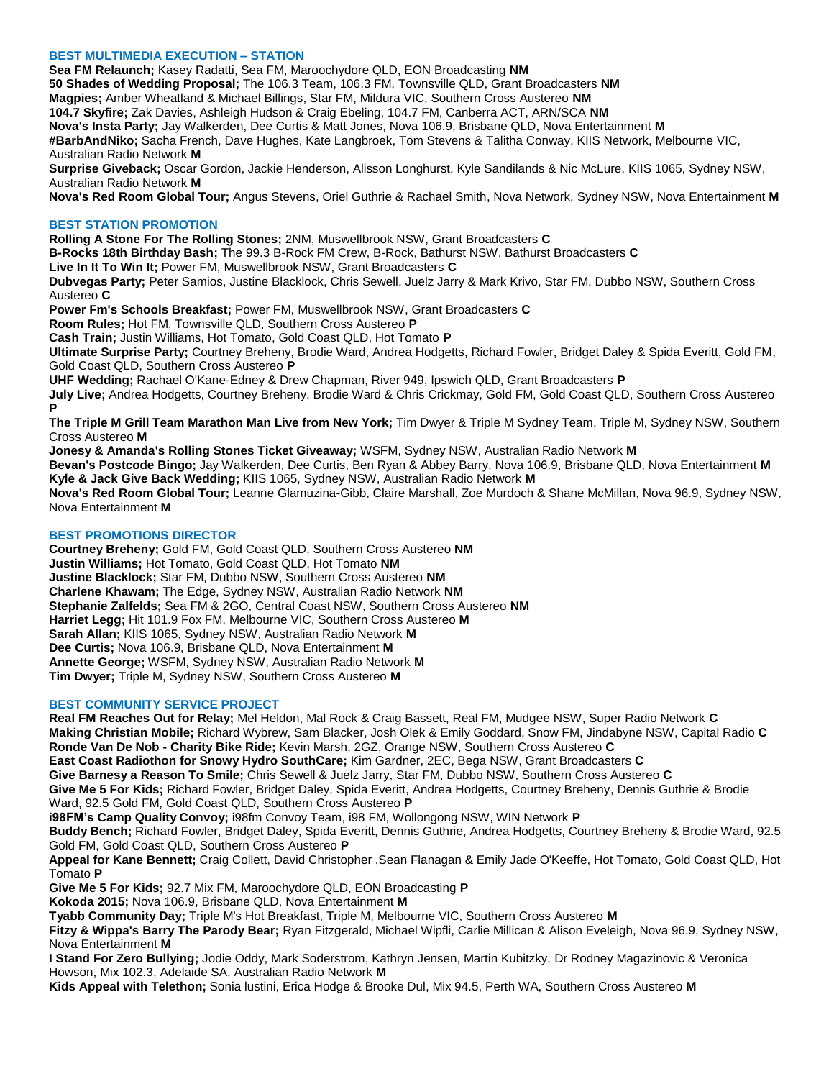# **BEST MULTIMEDIA EXECUTION – STATION**

**Sea FM Relaunch;** Kasey Radatti, Sea FM, Maroochydore QLD, EON Broadcasting **NM 50 Shades of Wedding Proposal;** The 106.3 Team, 106.3 FM, Townsville QLD, Grant Broadcasters **NM Magpies;** Amber Wheatland & Michael Billings, Star FM, Mildura VIC, Southern Cross Austereo **NM 104.7 Skyfire;** Zak Davies, Ashleigh Hudson & Craig Ebeling, 104.7 FM, Canberra ACT, ARN/SCA **NM Nova's Insta Party;** Jay Walkerden, Dee Curtis & Matt Jones, Nova 106.9, Brisbane QLD, Nova Entertainment **M #BarbAndNiko;** Sacha French, Dave Hughes, Kate Langbroek, Tom Stevens & Talitha Conway, KIIS Network, Melbourne VIC, Australian Radio Network **M Surprise Giveback;** Oscar Gordon, Jackie Henderson, Alisson Longhurst, Kyle Sandilands & Nic McLure, KIIS 1065, Sydney NSW, Australian Radio Network **M**

**Nova's Red Room Global Tour;** Angus Stevens, Oriel Guthrie & Rachael Smith, Nova Network, Sydney NSW, Nova Entertainment **M**

# **BEST STATION PROMOTION**

**Rolling A Stone For The Rolling Stones;** 2NM, Muswellbrook NSW, Grant Broadcasters **C**

**B-Rocks 18th Birthday Bash;** The 99.3 B-Rock FM Crew, B-Rock, Bathurst NSW, Bathurst Broadcasters **C**

**Live In It To Win It;** Power FM, Muswellbrook NSW, Grant Broadcasters **C**

**Dubvegas Party;** Peter Samios, Justine Blacklock, Chris Sewell, Juelz Jarry & Mark Krivo, Star FM, Dubbo NSW, Southern Cross Austereo **C**

**Power Fm's Schools Breakfast;** Power FM, Muswellbrook NSW, Grant Broadcasters **C**

**Room Rules;** Hot FM, Townsville QLD, Southern Cross Austereo **P**

**Cash Train;** Justin Williams, Hot Tomato, Gold Coast QLD, Hot Tomato **P**

**Ultimate Surprise Party;** Courtney Breheny, Brodie Ward, Andrea Hodgetts, Richard Fowler, Bridget Daley & Spida Everitt, Gold FM, Gold Coast QLD, Southern Cross Austereo **P**

**UHF Wedding;** Rachael O'Kane-Edney & Drew Chapman, River 949, Ipswich QLD, Grant Broadcasters **P**

**July Live;** Andrea Hodgetts, Courtney Breheny, Brodie Ward & Chris Crickmay, Gold FM, Gold Coast QLD, Southern Cross Austereo **P**

**The Triple M Grill Team Marathon Man Live from New York;** Tim Dwyer & Triple M Sydney Team, Triple M, Sydney NSW, Southern Cross Austereo **M**

**Jonesy & Amanda's Rolling Stones Ticket Giveaway;** WSFM, Sydney NSW, Australian Radio Network **M**

**Bevan's Postcode Bingo;** Jay Walkerden, Dee Curtis, Ben Ryan & Abbey Barry, Nova 106.9, Brisbane QLD, Nova Entertainment **M Kyle & Jack Give Back Wedding;** KIIS 1065, Sydney NSW, Australian Radio Network **M**

**Nova's Red Room Global Tour;** Leanne Glamuzina-Gibb, Claire Marshall, Zoe Murdoch & Shane McMillan, Nova 96.9, Sydney NSW, Nova Entertainment **M**

# **BEST PROMOTIONS DIRECTOR**

**Courtney Breheny;** Gold FM, Gold Coast QLD, Southern Cross Austereo **NM Justin Williams;** Hot Tomato, Gold Coast QLD, Hot Tomato **NM Justine Blacklock;** Star FM, Dubbo NSW, Southern Cross Austereo **NM Charlene Khawam;** The Edge, Sydney NSW, Australian Radio Network **NM Stephanie Zalfelds;** Sea FM & 2GO, Central Coast NSW, Southern Cross Austereo **NM Harriet Legg;** Hit 101.9 Fox FM, Melbourne VIC, Southern Cross Austereo **M Sarah Allan;** KIIS 1065, Sydney NSW, Australian Radio Network **M Dee Curtis;** Nova 106.9, Brisbane QLD, Nova Entertainment **M Annette George;** WSFM, Sydney NSW, Australian Radio Network **M Tim Dwyer;** Triple M, Sydney NSW, Southern Cross Austereo **M**

# **BEST COMMUNITY SERVICE PROJECT**

**Real FM Reaches Out for Relay;** Mel Heldon, Mal Rock & Craig Bassett, Real FM, Mudgee NSW, Super Radio Network **C Making Christian Mobile;** Richard Wybrew, Sam Blacker, Josh Olek & Emily Goddard, Snow FM, Jindabyne NSW, Capital Radio **C Ronde Van De Nob - Charity Bike Ride;** Kevin Marsh, 2GZ, Orange NSW, Southern Cross Austereo **C East Coast Radiothon for Snowy Hydro SouthCare;** Kim Gardner, 2EC, Bega NSW, Grant Broadcasters **C Give Barnesy a Reason To Smile;** Chris Sewell & Juelz Jarry, Star FM, Dubbo NSW, Southern Cross Austereo **C Give Me 5 For Kids;** Richard Fowler, Bridget Daley, Spida Everitt, Andrea Hodgetts, Courtney Breheny, Dennis Guthrie & Brodie Ward, 92.5 Gold FM, Gold Coast QLD, Southern Cross Austereo **P i98FM's Camp Quality Convoy;** i98fm Convoy Team, i98 FM, Wollongong NSW, WIN Network **P Buddy Bench;** Richard Fowler, Bridget Daley, Spida Everitt, Dennis Guthrie, Andrea Hodgetts, Courtney Breheny & Brodie Ward, 92.5 Gold FM, Gold Coast QLD, Southern Cross Austereo **P Appeal for Kane Bennett;** Craig Collett, David Christopher ,Sean Flanagan & Emily Jade O'Keeffe, Hot Tomato, Gold Coast QLD, Hot Tomato **P Give Me 5 For Kids;** 92.7 Mix FM, Maroochydore QLD, EON Broadcasting **P Kokoda 2015;** Nova 106.9, Brisbane QLD, Nova Entertainment **M Tyabb Community Day;** Triple M's Hot Breakfast, Triple M, Melbourne VIC, Southern Cross Austereo **M Fitzy & Wippa's Barry The Parody Bear;** Ryan Fitzgerald, Michael Wipfli, Carlie Millican & Alison Eveleigh, Nova 96.9, Sydney NSW, Nova Entertainment **M**

**I Stand For Zero Bullying;** Jodie Oddy, Mark Soderstrom, Kathryn Jensen, Martin Kubitzky, Dr Rodney Magazinovic & Veronica Howson, Mix 102.3, Adelaide SA, Australian Radio Network **M**

**Kids Appeal with Telethon;** Sonia lustini, Erica Hodge & Brooke Dul, Mix 94.5, Perth WA, Southern Cross Austereo **M**